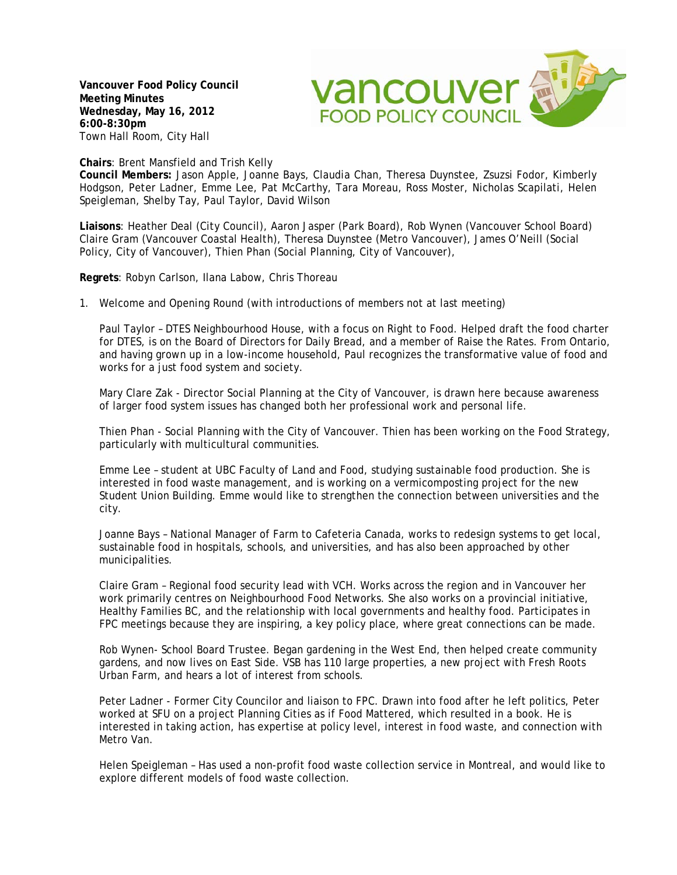**Vancouver Food Policy Council Meeting Minutes Wednesday, May 16, 2012 6:00-8:30pm** Town Hall Room, City Hall



## **Chairs**: Brent Mansfield and Trish Kelly

**Council Members:** Jason Apple, Joanne Bays, Claudia Chan, Theresa Duynstee, Zsuzsi Fodor, Kimberly Hodgson, Peter Ladner, Emme Lee, Pat McCarthy, Tara Moreau, Ross Moster, Nicholas Scapilati, Helen Speigleman, Shelby Tay, Paul Taylor, David Wilson

**Liaisons**: Heather Deal (City Council), Aaron Jasper (Park Board), Rob Wynen (Vancouver School Board) Claire Gram (Vancouver Coastal Health), Theresa Duynstee (Metro Vancouver), James O'Neill (Social Policy, City of Vancouver), Thien Phan (Social Planning, City of Vancouver),

**Regrets**: Robyn Carlson, Ilana Labow, Chris Thoreau

1. Welcome and Opening Round (with introductions of members not at last meeting)

Paul Taylor – DTES Neighbourhood House, with a focus on Right to Food. Helped draft the food charter for DTES, is on the Board of Directors for Daily Bread, and a member of Raise the Rates. From Ontario, and having grown up in a low-income household, Paul recognizes the transformative value of food and works for a just food system and society.

Mary Clare Zak - Director Social Planning at the City of Vancouver, is drawn here because awareness of larger food system issues has changed both her professional work and personal life.

Thien Phan - Social Planning with the City of Vancouver. Thien has been working on the Food Strategy, particularly with multicultural communities.

Emme Lee – student at UBC Faculty of Land and Food, studying sustainable food production. She is interested in food waste management, and is working on a vermicomposting project for the new Student Union Building. Emme would like to strengthen the connection between universities and the city.

Joanne Bays – National Manager of Farm to Cafeteria Canada, works to redesign systems to get local, sustainable food in hospitals, schools, and universities, and has also been approached by other municipalities.

Claire Gram – Regional food security lead with VCH. Works across the region and in Vancouver her work primarily centres on Neighbourhood Food Networks. She also works on a provincial initiative, Healthy Families BC, and the relationship with local governments and healthy food. Participates in FPC meetings because they are inspiring, a key policy place, where great connections can be made.

Rob Wynen- School Board Trustee. Began gardening in the West End, then helped create community gardens, and now lives on East Side. VSB has 110 large properties, a new project with Fresh Roots Urban Farm, and hears a lot of interest from schools.

Peter Ladner - Former City Councilor and liaison to FPC. Drawn into food after he left politics, Peter worked at SFU on a project Planning Cities as if Food Mattered, which resulted in a book. He is interested in taking action, has expertise at policy level, interest in food waste, and connection with Metro Van.

Helen Speigleman – Has used a non-profit food waste collection service in Montreal, and would like to explore different models of food waste collection.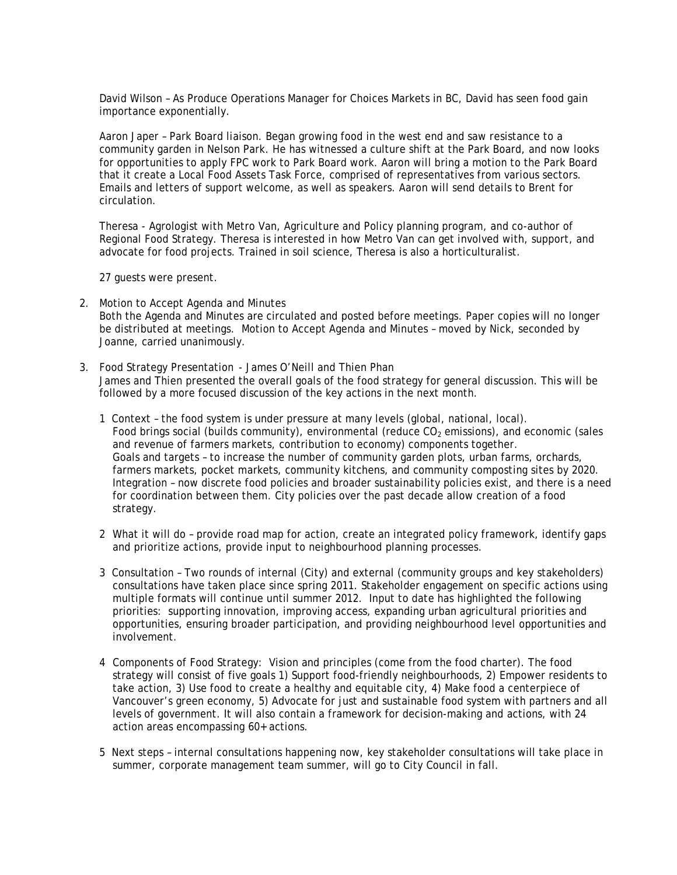David Wilson – As Produce Operations Manager for Choices Markets in BC, David has seen food gain importance exponentially.

Aaron Japer – Park Board liaison. Began growing food in the west end and saw resistance to a community garden in Nelson Park. He has witnessed a culture shift at the Park Board, and now looks for opportunities to apply FPC work to Park Board work. Aaron will bring a motion to the Park Board that it create a Local Food Assets Task Force, comprised of representatives from various sectors. Emails and letters of support welcome, as well as speakers. Aaron will send details to Brent for circulation.

Theresa - Agrologist with Metro Van, Agriculture and Policy planning program, and co-author of Regional Food Strategy. Theresa is interested in how Metro Van can get involved with, support, and advocate for food projects. Trained in soil science, Theresa is also a horticulturalist.

27 guests were present.

- 2. Motion to Accept Agenda and Minutes Both the Agenda and Minutes are circulated and posted before meetings. Paper copies will no longer be distributed at meetings. Motion to Accept Agenda and Minutes – moved by Nick, seconded by Joanne, carried unanimously.
- 3. Food Strategy Presentation James O'Neill and Thien Phan James and Thien presented the overall goals of the food strategy for general discussion. This will be followed by a more focused discussion of the key actions in the next month.
	- 1 Context the food system is under pressure at many levels (global, national, local). Food brings social (builds community), environmental (reduce  $CO<sub>2</sub>$  emissions), and economic (sales and revenue of farmers markets, contribution to economy) components together. Goals and targets – to increase the number of community garden plots, urban farms, orchards, farmers markets, pocket markets, community kitchens, and community composting sites by 2020. Integration – now discrete food policies and broader sustainability policies exist, and there is a need for coordination between them. City policies over the past decade allow creation of a food strategy.
	- 2 What it will do provide road map for action, create an integrated policy framework, identify gaps and prioritize actions, provide input to neighbourhood planning processes.
	- 3 Consultation Two rounds of internal (City) and external (community groups and key stakeholders) consultations have taken place since spring 2011. Stakeholder engagement on specific actions using multiple formats will continue until summer 2012. Input to date has highlighted the following priorities: supporting innovation, improving access, expanding urban agricultural priorities and opportunities, ensuring broader participation, and providing neighbourhood level opportunities and involvement.
	- 4 Components of Food Strategy: Vision and principles (come from the food charter). The food strategy will consist of five goals 1) Support food-friendly neighbourhoods, 2) Empower residents to take action, 3) Use food to create a healthy and equitable city, 4) Make food a centerpiece of Vancouver's green economy, 5) Advocate for just and sustainable food system with partners and all levels of government. It will also contain a framework for decision-making and actions, with 24 action areas encompassing 60+ actions.
	- 5 Next steps internal consultations happening now, key stakeholder consultations will take place in summer, corporate management team summer, will go to City Council in fall.